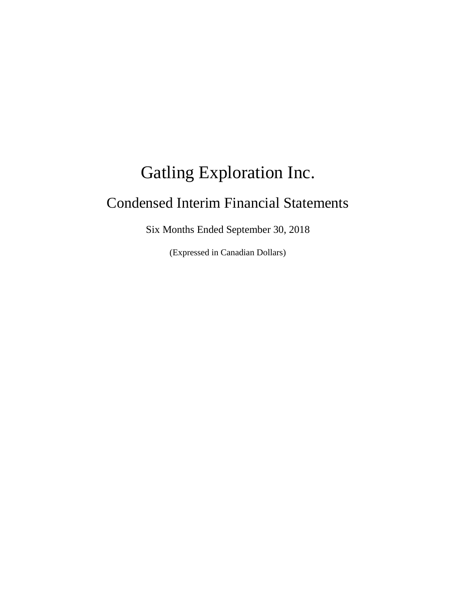# Gatling Exploration Inc. Condensed Interim Financial Statements

Six Months Ended September 30, 2018

(Expressed in Canadian Dollars)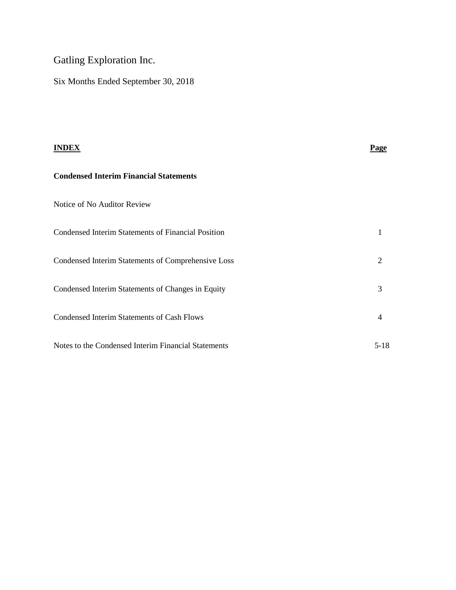## Gatling Exploration Inc.

Six Months Ended September 30, 2018

| <b>INDEX</b>                                              | Page           |
|-----------------------------------------------------------|----------------|
| <b>Condensed Interim Financial Statements</b>             |                |
| Notice of No Auditor Review                               |                |
| <b>Condensed Interim Statements of Financial Position</b> | 1              |
| Condensed Interim Statements of Comprehensive Loss        | 2              |
| Condensed Interim Statements of Changes in Equity         | 3              |
| <b>Condensed Interim Statements of Cash Flows</b>         | $\overline{4}$ |
| Notes to the Condensed Interim Financial Statements       | $5-18$         |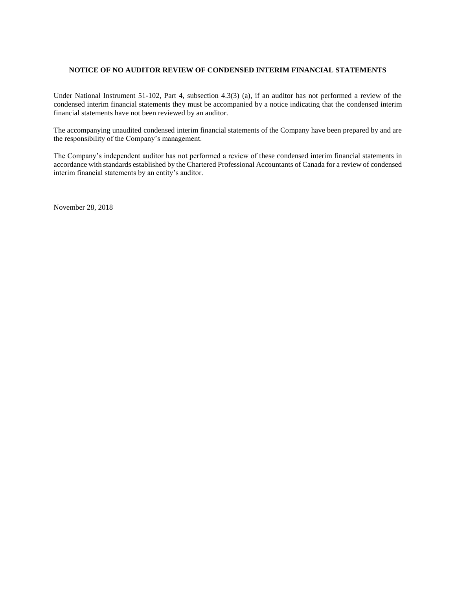#### **NOTICE OF NO AUDITOR REVIEW OF CONDENSED INTERIM FINANCIAL STATEMENTS**

Under National Instrument 51-102, Part 4, subsection 4.3(3) (a), if an auditor has not performed a review of the condensed interim financial statements they must be accompanied by a notice indicating that the condensed interim financial statements have not been reviewed by an auditor.

The accompanying unaudited condensed interim financial statements of the Company have been prepared by and are the responsibility of the Company's management.

The Company's independent auditor has not performed a review of these condensed interim financial statements in accordance with standards established by the Chartered Professional Accountants of Canada for a review of condensed interim financial statements by an entity's auditor.

November 28, 2018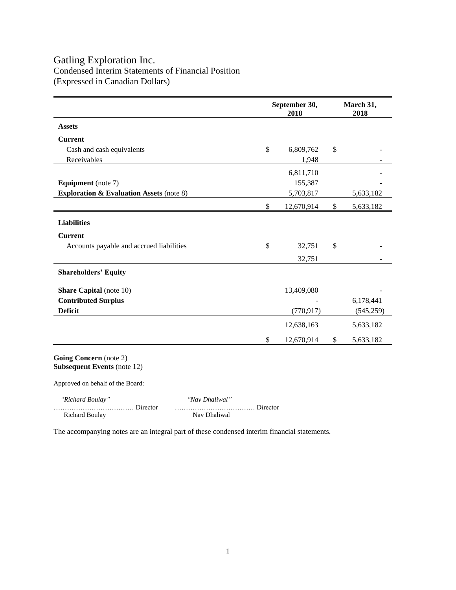### Gatling Exploration Inc. Condensed Interim Statements of Financial Position (Expressed in Canadian Dollars)

|                                                     | September 30,<br>2018 |            |    | March 31,<br>2018 |  |  |
|-----------------------------------------------------|-----------------------|------------|----|-------------------|--|--|
| <b>Assets</b>                                       |                       |            |    |                   |  |  |
| <b>Current</b>                                      |                       |            |    |                   |  |  |
| Cash and cash equivalents                           | $\mathbb{S}$          | 6,809,762  | \$ |                   |  |  |
| Receivables                                         |                       | 1,948      |    |                   |  |  |
|                                                     |                       | 6,811,710  |    |                   |  |  |
| <b>Equipment</b> (note 7)                           |                       | 155,387    |    |                   |  |  |
| <b>Exploration &amp; Evaluation Assets (note 8)</b> |                       | 5,703,817  |    | 5,633,182         |  |  |
|                                                     | \$                    | 12,670,914 | \$ | 5,633,182         |  |  |
| <b>Liabilities</b>                                  |                       |            |    |                   |  |  |
| <b>Current</b>                                      |                       |            |    |                   |  |  |
| Accounts payable and accrued liabilities            | $\mathbb{S}$          | 32,751     | \$ |                   |  |  |
|                                                     |                       | 32,751     |    |                   |  |  |
| <b>Shareholders' Equity</b>                         |                       |            |    |                   |  |  |
| <b>Share Capital</b> (note 10)                      |                       | 13,409,080 |    |                   |  |  |
| <b>Contributed Surplus</b>                          |                       |            |    | 6,178,441         |  |  |
| <b>Deficit</b>                                      |                       | (770, 917) |    | (545, 259)        |  |  |
|                                                     |                       | 12,638,163 |    | 5,633,182         |  |  |
|                                                     | \$                    | 12,670,914 | \$ | 5,633,182         |  |  |
|                                                     |                       |            |    |                   |  |  |

**Going Concern** (note 2) **Subsequent Events** (note 12)

Approved on behalf of the Board:

 *"Richard Boulay" "Nav Dhaliwal"*

Richard Boulay Nav Dhaliwal

……………………………… Director ……………………………… Director

The accompanying notes are an integral part of these condensed interim financial statements.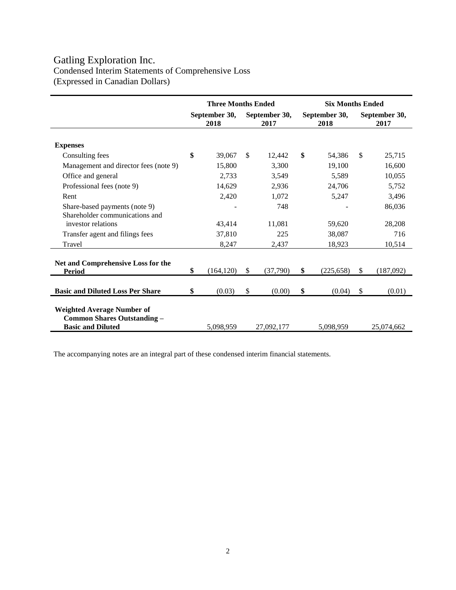## Gatling Exploration Inc. Condensed Interim Statements of Comprehensive Loss (Expressed in Canadian Dollars)

|                                                                                                     | <b>Three Months Ended</b> |            |                       | <b>Six Months Ended</b> |                       |            |                       |            |
|-----------------------------------------------------------------------------------------------------|---------------------------|------------|-----------------------|-------------------------|-----------------------|------------|-----------------------|------------|
|                                                                                                     | September 30,<br>2018     |            | September 30,<br>2017 |                         | September 30,<br>2018 |            | September 30,<br>2017 |            |
| <b>Expenses</b>                                                                                     |                           |            |                       |                         |                       |            |                       |            |
| Consulting fees                                                                                     | \$                        | 39,067     | <sup>\$</sup>         | 12,442                  | \$                    | 54,386     | \$                    | 25,715     |
| Management and director fees (note 9)                                                               |                           | 15,800     |                       | 3,300                   |                       | 19,100     |                       | 16,600     |
| Office and general                                                                                  |                           | 2,733      |                       | 3,549                   |                       | 5,589      |                       | 10,055     |
| Professional fees (note 9)                                                                          |                           | 14,629     |                       | 2,936                   |                       | 24,706     |                       | 5,752      |
| Rent                                                                                                |                           | 2,420      |                       | 1,072                   |                       | 5,247      |                       | 3,496      |
| Share-based payments (note 9)<br>Shareholder communications and                                     |                           |            |                       | 748                     |                       |            |                       | 86,036     |
| investor relations                                                                                  |                           | 43,414     |                       | 11,081                  |                       | 59,620     |                       | 28,208     |
| Transfer agent and filings fees                                                                     |                           | 37,810     |                       | 225                     |                       | 38,087     |                       | 716        |
| Travel                                                                                              |                           | 8,247      |                       | 2,437                   |                       | 18,923     |                       | 10,514     |
| Net and Comprehensive Loss for the<br><b>Period</b>                                                 | \$                        | (164, 120) | \$                    | (37,790)                | \$                    | (225, 658) | \$                    | (187,092)  |
| <b>Basic and Diluted Loss Per Share</b>                                                             | \$                        | (0.03)     | \$                    | (0.00)                  | \$                    | (0.04)     | \$                    | (0.01)     |
| <b>Weighted Average Number of</b><br><b>Common Shares Outstanding -</b><br><b>Basic and Diluted</b> |                           | 5,098,959  |                       | 27,092,177              |                       | 5,098,959  |                       | 25,074,662 |

The accompanying notes are an integral part of these condensed interim financial statements.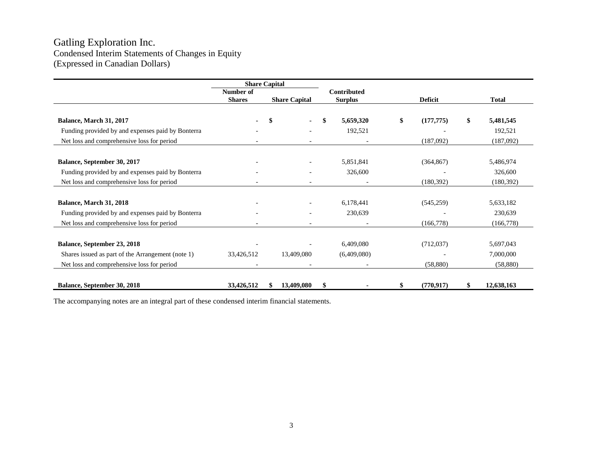## Gatling Exploration Inc. Condensed Interim Statements of Changes in Equity (Expressed in Canadian Dollars)

|                                                   |               | <b>Share Capital</b> |                    |    |                |                  |
|---------------------------------------------------|---------------|----------------------|--------------------|----|----------------|------------------|
|                                                   | Number of     |                      | <b>Contributed</b> |    |                |                  |
|                                                   | <b>Shares</b> | <b>Share Capital</b> | <b>Surplus</b>     |    | <b>Deficit</b> | <b>Total</b>     |
|                                                   |               |                      |                    |    |                |                  |
| Balance, March 31, 2017                           | ۰             | S                    | 5,659,320          | \$ | (177, 775)     | \$<br>5,481,545  |
| Funding provided by and expenses paid by Bonterra |               |                      | 192,521            |    |                | 192,521          |
| Net loss and comprehensive loss for period        |               |                      |                    |    | (187,092)      | (187,092)        |
|                                                   |               |                      |                    |    |                |                  |
| Balance, September 30, 2017                       |               |                      | 5,851,841          |    | (364, 867)     | 5,486,974        |
| Funding provided by and expenses paid by Bonterra |               |                      | 326,600            |    |                | 326,600          |
| Net loss and comprehensive loss for period        |               |                      |                    |    | (180, 392)     | (180, 392)       |
|                                                   |               |                      |                    |    |                |                  |
| Balance, March 31, 2018                           |               |                      | 6,178,441          |    | (545, 259)     | 5,633,182        |
| Funding provided by and expenses paid by Bonterra |               |                      | 230,639            |    |                | 230,639          |
| Net loss and comprehensive loss for period        |               |                      |                    |    | (166,778)      | (166,778)        |
|                                                   |               |                      |                    |    |                |                  |
| Balance, September 23, 2018                       |               |                      | 6,409,080          |    | (712,037)      | 5,697,043        |
| Shares issued as part of the Arrangement (note 1) | 33,426,512    | 13,409,080           | (6,409,080)        |    |                | 7,000,000        |
| Net loss and comprehensive loss for period        |               |                      |                    |    | (58, 880)      | (58, 880)        |
|                                                   |               |                      |                    |    |                |                  |
| Balance, September 30, 2018                       | 33,426,512    | 13,409,080           | \$                 | S. | (770, 917)     | \$<br>12,638,163 |

The accompanying notes are an integral part of these condensed interim financial statements.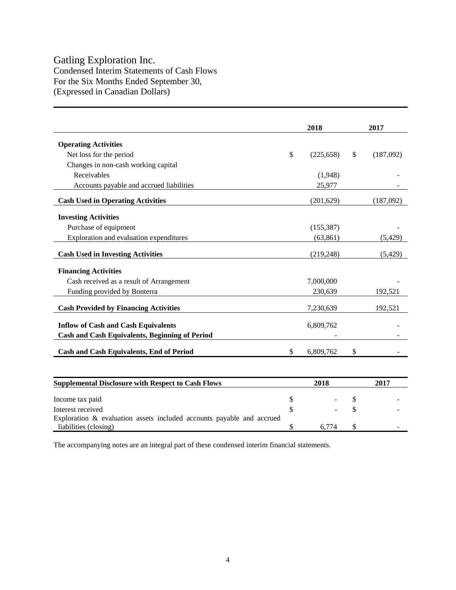## Gatling Exploration Inc.

Condensed Interim Statements of Cash Flows For the Six Months Ended September 30, (Expressed in Canadian Dollars)

|                                                                       |              | 2018       | 2017            |
|-----------------------------------------------------------------------|--------------|------------|-----------------|
| <b>Operating Activities</b>                                           |              |            |                 |
| Net loss for the period                                               | \$           | (225, 658) | \$<br>(187,092) |
| Changes in non-cash working capital                                   |              |            |                 |
| Receivables                                                           |              | (1,948)    |                 |
| Accounts payable and accrued liabilities                              |              | 25,977     |                 |
| <b>Cash Used in Operating Activities</b>                              |              | (201, 629) | (187,092)       |
| <b>Investing Activities</b>                                           |              |            |                 |
| Purchase of equipment                                                 |              | (155, 387) |                 |
| Exploration and evaluation expenditures                               |              | (63, 861)  | (5, 429)        |
| <b>Cash Used in Investing Activities</b>                              |              | (219, 248) | (5, 429)        |
| <b>Financing Activities</b>                                           |              |            |                 |
| Cash received as a result of Arrangement                              |              | 7,000,000  |                 |
| Funding provided by Bonterra                                          |              | 230,639    | 192,521         |
| <b>Cash Provided by Financing Activities</b>                          |              | 7,230,639  | 192,521         |
| <b>Inflow of Cash and Cash Equivalents</b>                            |              | 6,809,762  |                 |
| <b>Cash and Cash Equivalents, Beginning of Period</b>                 |              |            |                 |
| <b>Cash and Cash Equivalents, End of Period</b>                       | $\mathbb{S}$ | 6,809,762  | \$              |
|                                                                       |              |            |                 |
| <b>Supplemental Disclosure with Respect to Cash Flows</b>             |              | 2018       | 2017            |
| Income tax paid                                                       | \$           |            | \$              |
| Interest received                                                     | \$           |            | \$              |
| Exploration & evaluation assets included accounts payable and accrued |              |            |                 |

The accompanying notes are an integral part of these condensed interim financial statements.

liabilities (closing)  $\qquad$   $\qquad$   $\qquad$   $\qquad$   $\qquad$   $\qquad$   $\qquad$   $\qquad$   $\qquad$   $\qquad$   $\qquad$   $\qquad$   $\qquad$   $\qquad$   $\qquad$   $\qquad$   $\qquad$   $\qquad$   $\qquad$   $\qquad$   $\qquad$   $\qquad$   $\qquad$   $\qquad$   $\qquad$   $\qquad$   $\qquad$   $\qquad$   $\qquad$   $\qquad$   $\qquad$   $\qquad$   $\qquad$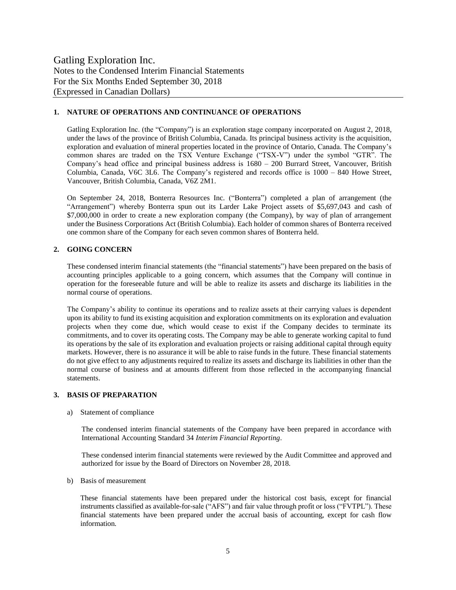#### **1. NATURE OF OPERATIONS AND CONTINUANCE OF OPERATIONS**

Gatling Exploration Inc. (the "Company") is an exploration stage company incorporated on August 2, 2018, under the laws of the province of British Columbia, Canada. Its principal business activity is the acquisition, exploration and evaluation of mineral properties located in the province of Ontario, Canada. The Company's common shares are traded on the TSX Venture Exchange ("TSX-V") under the symbol "GTR". The Company's head office and principal business address is 1680 – 200 Burrard Street, Vancouver, British Columbia, Canada, V6C 3L6. The Company's registered and records office is 1000 – 840 Howe Street, Vancouver, British Columbia, Canada, V6Z 2M1.

On September 24, 2018, Bonterra Resources Inc. ("Bonterra") completed a plan of arrangement (the "Arrangement") whereby Bonterra spun out its Larder Lake Project assets of \$5,697,043 and cash of \$7,000,000 in order to create a new exploration company (the Company), by way of plan of arrangement under the Business Corporations Act (British Columbia). Each holder of common shares of Bonterra received one common share of the Company for each seven common shares of Bonterra held.

#### **2. GOING CONCERN**

These condensed interim financial statements (the "financial statements") have been prepared on the basis of accounting principles applicable to a going concern, which assumes that the Company will continue in operation for the foreseeable future and will be able to realize its assets and discharge its liabilities in the normal course of operations.

The Company's ability to continue its operations and to realize assets at their carrying values is dependent upon its ability to fund its existing acquisition and exploration commitments on its exploration and evaluation projects when they come due, which would cease to exist if the Company decides to terminate its commitments, and to cover its operating costs. The Company may be able to generate working capital to fund its operations by the sale of its exploration and evaluation projects or raising additional capital through equity markets. However, there is no assurance it will be able to raise funds in the future. These financial statements do not give effect to any adjustments required to realize its assets and discharge its liabilities in other than the normal course of business and at amounts different from those reflected in the accompanying financial statements.

#### **3. BASIS OF PREPARATION**

a) Statement of compliance

The condensed interim financial statements of the Company have been prepared in accordance with International Accounting Standard 34 *Interim Financial Reporting*.

These condensed interim financial statements were reviewed by the Audit Committee and approved and authorized for issue by the Board of Directors on November 28, 2018.

b) Basis of measurement

These financial statements have been prepared under the historical cost basis, except for financial instruments classified as available-for-sale ("AFS") and fair value through profit or loss ("FVTPL"). These financial statements have been prepared under the accrual basis of accounting, except for cash flow information.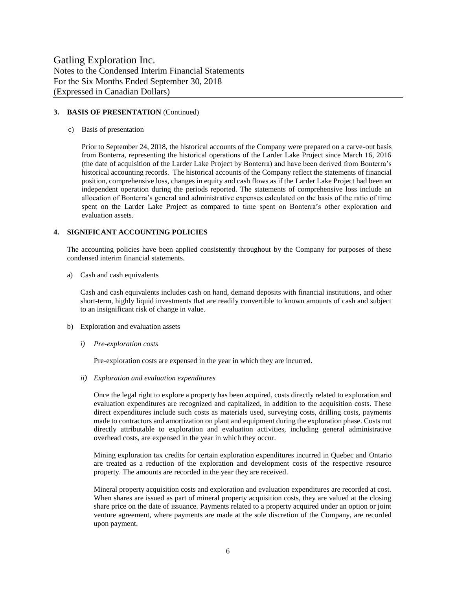#### **3. BASIS OF PRESENTATION** (Continued)

c) Basis of presentation

Prior to September 24, 2018, the historical accounts of the Company were prepared on a carve-out basis from Bonterra, representing the historical operations of the Larder Lake Project since March 16, 2016 (the date of acquisition of the Larder Lake Project by Bonterra) and have been derived from Bonterra's historical accounting records. The historical accounts of the Company reflect the statements of financial position, comprehensive loss, changes in equity and cash flows as if the Larder Lake Project had been an independent operation during the periods reported. The statements of comprehensive loss include an allocation of Bonterra's general and administrative expenses calculated on the basis of the ratio of time spent on the Larder Lake Project as compared to time spent on Bonterra's other exploration and evaluation assets.

#### **4. SIGNIFICANT ACCOUNTING POLICIES**

The accounting policies have been applied consistently throughout by the Company for purposes of these condensed interim financial statements.

a) Cash and cash equivalents

Cash and cash equivalents includes cash on hand, demand deposits with financial institutions, and other short-term, highly liquid investments that are readily convertible to known amounts of cash and subject to an insignificant risk of change in value.

- b) Exploration and evaluation assets
	- *i) Pre-exploration costs*

Pre-exploration costs are expensed in the year in which they are incurred.

*ii) Exploration and evaluation expenditures*

Once the legal right to explore a property has been acquired, costs directly related to exploration and evaluation expenditures are recognized and capitalized, in addition to the acquisition costs. These direct expenditures include such costs as materials used, surveying costs, drilling costs, payments made to contractors and amortization on plant and equipment during the exploration phase. Costs not directly attributable to exploration and evaluation activities, including general administrative overhead costs, are expensed in the year in which they occur.

Mining exploration tax credits for certain exploration expenditures incurred in Quebec and Ontario are treated as a reduction of the exploration and development costs of the respective resource property. The amounts are recorded in the year they are received.

Mineral property acquisition costs and exploration and evaluation expenditures are recorded at cost. When shares are issued as part of mineral property acquisition costs, they are valued at the closing share price on the date of issuance. Payments related to a property acquired under an option or joint venture agreement, where payments are made at the sole discretion of the Company, are recorded upon payment.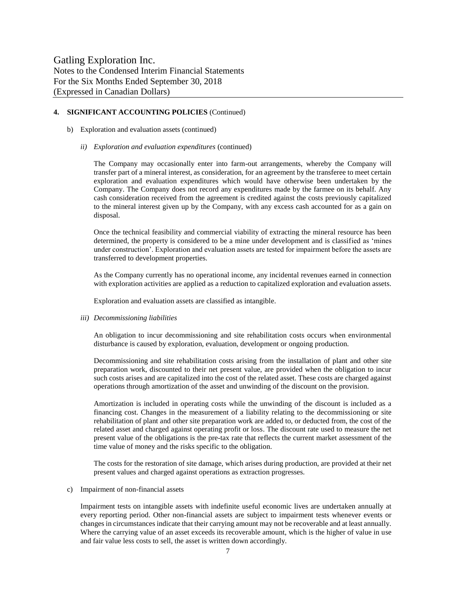#### **4. SIGNIFICANT ACCOUNTING POLICIES** (Continued)

- b) Exploration and evaluation assets (continued)
	- *ii) Exploration and evaluation expenditures* (continued)

The Company may occasionally enter into farm-out arrangements, whereby the Company will transfer part of a mineral interest, as consideration, for an agreement by the transferee to meet certain exploration and evaluation expenditures which would have otherwise been undertaken by the Company. The Company does not record any expenditures made by the farmee on its behalf. Any cash consideration received from the agreement is credited against the costs previously capitalized to the mineral interest given up by the Company, with any excess cash accounted for as a gain on disposal.

Once the technical feasibility and commercial viability of extracting the mineral resource has been determined, the property is considered to be a mine under development and is classified as 'mines under construction'. Exploration and evaluation assets are tested for impairment before the assets are transferred to development properties.

As the Company currently has no operational income, any incidental revenues earned in connection with exploration activities are applied as a reduction to capitalized exploration and evaluation assets.

Exploration and evaluation assets are classified as intangible.

*iii) Decommissioning liabilities* 

An obligation to incur decommissioning and site rehabilitation costs occurs when environmental disturbance is caused by exploration, evaluation, development or ongoing production.

Decommissioning and site rehabilitation costs arising from the installation of plant and other site preparation work, discounted to their net present value, are provided when the obligation to incur such costs arises and are capitalized into the cost of the related asset. These costs are charged against operations through amortization of the asset and unwinding of the discount on the provision.

Amortization is included in operating costs while the unwinding of the discount is included as a financing cost. Changes in the measurement of a liability relating to the decommissioning or site rehabilitation of plant and other site preparation work are added to, or deducted from, the cost of the related asset and charged against operating profit or loss. The discount rate used to measure the net present value of the obligations is the pre-tax rate that reflects the current market assessment of the time value of money and the risks specific to the obligation.

The costs for the restoration of site damage, which arises during production, are provided at their net present values and charged against operations as extraction progresses.

c) Impairment of non-financial assets

Impairment tests on intangible assets with indefinite useful economic lives are undertaken annually at every reporting period. Other non-financial assets are subject to impairment tests whenever events or changes in circumstances indicate that their carrying amount may not be recoverable and at least annually. Where the carrying value of an asset exceeds its recoverable amount, which is the higher of value in use and fair value less costs to sell, the asset is written down accordingly.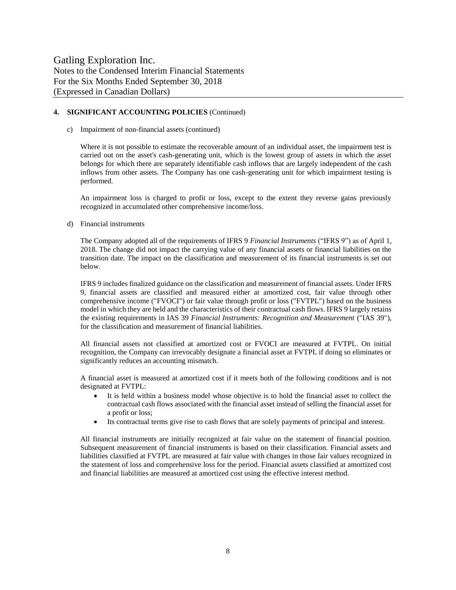#### **4. SIGNIFICANT ACCOUNTING POLICIES** (Continued)

c) Impairment of non-financial assets (continued)

Where it is not possible to estimate the recoverable amount of an individual asset, the impairment test is carried out on the asset's cash-generating unit, which is the lowest group of assets in which the asset belongs for which there are separately identifiable cash inflows that are largely independent of the cash inflows from other assets. The Company has one cash-generating unit for which impairment testing is performed.

An impairment loss is charged to profit or loss, except to the extent they reverse gains previously recognized in accumulated other comprehensive income/loss.

d) Financial instruments

The Company adopted all of the requirements of IFRS 9 *Financial Instruments* ("IFRS 9") as of April 1, 2018. The change did not impact the carrying value of any financial assets or financial liabilities on the transition date. The impact on the classification and measurement of its financial instruments is set out below.

IFRS 9 includes finalized guidance on the classification and measurement of financial assets. Under IFRS 9, financial assets are classified and measured either at amortized cost, fair value through other comprehensive income ("FVOCI") or fair value through profit or loss ("FVTPL") based on the business model in which they are held and the characteristics of their contractual cash flows. IFRS 9 largely retains the existing requirements in IAS 39 *Financial Instruments: Recognition and Measurement* ("IAS 39"), for the classification and measurement of financial liabilities.

All financial assets not classified at amortized cost or FVOCI are measured at FVTPL. On initial recognition, the Company can irrevocably designate a financial asset at FVTPL if doing so eliminates or significantly reduces an accounting mismatch.

A financial asset is measured at amortized cost if it meets both of the following conditions and is not designated at FVTPL:

- It is held within a business model whose objective is to hold the financial asset to collect the contractual cash flows associated with the financial asset instead of selling the financial asset for a profit or loss;
- Its contractual terms give rise to cash flows that are solely payments of principal and interest.

All financial instruments are initially recognized at fair value on the statement of financial position. Subsequent measurement of financial instruments is based on their classification. Financial assets and liabilities classified at FVTPL are measured at fair value with changes in those fair values recognized in the statement of loss and comprehensive loss for the period. Financial assets classified at amortized cost and financial liabilities are measured at amortized cost using the effective interest method.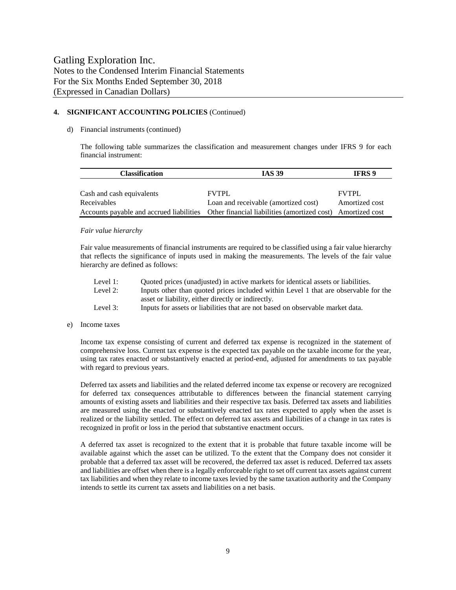#### **4. SIGNIFICANT ACCOUNTING POLICIES** (Continued)

#### d) Financial instruments (continued)

The following table summarizes the classification and measurement changes under IFRS 9 for each financial instrument:

| <b>Classification</b>     | <b>IAS 39</b>                                                                                        | <b>IFRS</b> 9  |  |
|---------------------------|------------------------------------------------------------------------------------------------------|----------------|--|
|                           |                                                                                                      |                |  |
| Cash and cash equivalents | <b>FVTPL</b>                                                                                         | <b>FVTPL</b>   |  |
| Receivables               | Loan and receivable (amortized cost)                                                                 | Amortized cost |  |
|                           | Accounts payable and accrued liabilities Other financial liabilities (amortized cost) Amortized cost |                |  |

#### *Fair value hierarchy*

Fair value measurements of financial instruments are required to be classified using a fair value hierarchy that reflects the significance of inputs used in making the measurements. The levels of the fair value hierarchy are defined as follows:

| Level 1: | Quoted prices (unadjusted) in active markets for identical assets or liabilities.   |
|----------|-------------------------------------------------------------------------------------|
| Level 2: | Inputs other than quoted prices included within Level 1 that are observable for the |
|          | asset or liability, either directly or indirectly.                                  |
| Level 3: | Inputs for assets or liabilities that are not based on observable market data.      |

#### e) Income taxes

Income tax expense consisting of current and deferred tax expense is recognized in the statement of comprehensive loss. Current tax expense is the expected tax payable on the taxable income for the year, using tax rates enacted or substantively enacted at period-end, adjusted for amendments to tax payable with regard to previous years.

Deferred tax assets and liabilities and the related deferred income tax expense or recovery are recognized for deferred tax consequences attributable to differences between the financial statement carrying amounts of existing assets and liabilities and their respective tax basis. Deferred tax assets and liabilities are measured using the enacted or substantively enacted tax rates expected to apply when the asset is realized or the liability settled. The effect on deferred tax assets and liabilities of a change in tax rates is recognized in profit or loss in the period that substantive enactment occurs.

A deferred tax asset is recognized to the extent that it is probable that future taxable income will be available against which the asset can be utilized. To the extent that the Company does not consider it probable that a deferred tax asset will be recovered, the deferred tax asset is reduced. Deferred tax assets and liabilities are offset when there is a legally enforceable right to set off current tax assets against current tax liabilities and when they relate to income taxes levied by the same taxation authority and the Company intends to settle its current tax assets and liabilities on a net basis.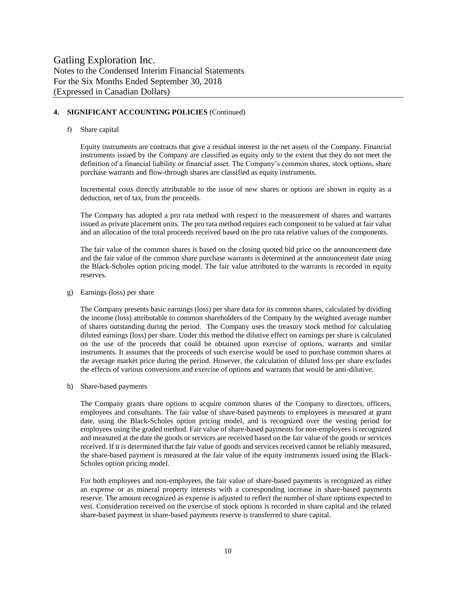#### **4. SIGNIFICANT ACCOUNTING POLICIES** (Continued)

#### f) Share capital

Equity instruments are contracts that give a residual interest in the net assets of the Company. Financial instruments issued by the Company are classified as equity only to the extent that they do not meet the definition of a financial liability or financial asset. The Company's common shares, stock options, share purchase warrants and flow-through shares are classified as equity instruments.

Incremental costs directly attributable to the issue of new shares or options are shown in equity as a deduction, net of tax, from the proceeds.

The Company has adopted a pro rata method with respect to the measurement of shares and warrants issued as private placement units. The pro rata method requires each component to be valued at fair value and an allocation of the total proceeds received based on the pro rata relative values of the components.

The fair value of the common shares is based on the closing quoted bid price on the announcement date and the fair value of the common share purchase warrants is determined at the announcement date using the Black-Scholes option pricing model. The fair value attributed to the warrants is recorded in equity reserves.

#### g) Earnings (loss) per share

The Company presents basic earnings (loss) per share data for its common shares, calculated by dividing the income (loss) attributable to common shareholders of the Company by the weighted average number of shares outstanding during the period. The Company uses the treasury stock method for calculating diluted earnings (loss) per share. Under this method the dilutive effect on earnings per share is calculated on the use of the proceeds that could be obtained upon exercise of options, warrants and similar instruments. It assumes that the proceeds of such exercise would be used to purchase common shares at the average market price during the period. However, the calculation of diluted loss per share excludes the effects of various conversions and exercise of options and warrants that would be anti-dilutive.

#### h) Share-based payments

The Company grants share options to acquire common shares of the Company to directors, officers, employees and consultants. The fair value of share-based payments to employees is measured at grant date, using the Black-Scholes option pricing model, and is recognized over the vesting period for employees using the graded method. Fair value of share-based payments for non-employees is recognized and measured at the date the goods or services are received based on the fair value of the goods or services received. If it is determined that the fair value of goods and services received cannot be reliably measured, the share-based payment is measured at the fair value of the equity instruments issued using the Black-Scholes option pricing model.

For both employees and non-employees, the fair value of share-based payments is recognized as either an expense or as mineral property interests with a corresponding increase in share-based payments reserve. The amount recognized as expense is adjusted to reflect the number of share options expected to vest. Consideration received on the exercise of stock options is recorded in share capital and the related share-based payment in share-based payments reserve is transferred to share capital.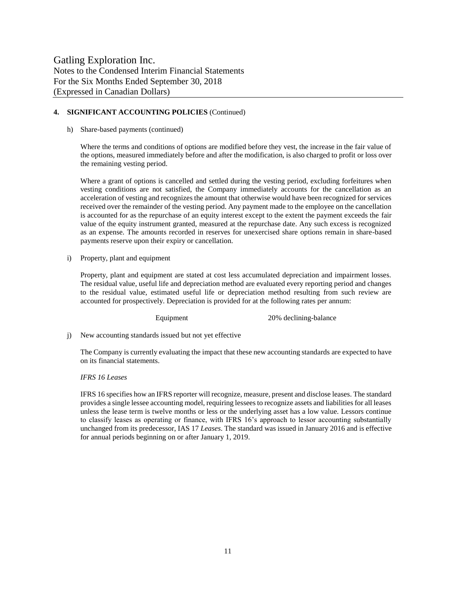#### **4. SIGNIFICANT ACCOUNTING POLICIES** (Continued)

h) Share-based payments (continued)

Where the terms and conditions of options are modified before they vest, the increase in the fair value of the options, measured immediately before and after the modification, is also charged to profit or loss over the remaining vesting period.

Where a grant of options is cancelled and settled during the vesting period, excluding forfeitures when vesting conditions are not satisfied, the Company immediately accounts for the cancellation as an acceleration of vesting and recognizes the amount that otherwise would have been recognized for services received over the remainder of the vesting period. Any payment made to the employee on the cancellation is accounted for as the repurchase of an equity interest except to the extent the payment exceeds the fair value of the equity instrument granted, measured at the repurchase date. Any such excess is recognized as an expense. The amounts recorded in reserves for unexercised share options remain in share-based payments reserve upon their expiry or cancellation.

i) Property, plant and equipment

Property, plant and equipment are stated at cost less accumulated depreciation and impairment losses. The residual value, useful life and depreciation method are evaluated every reporting period and changes to the residual value, estimated useful life or depreciation method resulting from such review are accounted for prospectively. Depreciation is provided for at the following rates per annum:

Equipment 20% declining-balance

j) New accounting standards issued but not yet effective

The Company is currently evaluating the impact that these new accounting standards are expected to have on its financial statements.

#### *IFRS 16 Leases*

IFRS 16 specifies how an IFRS reporter will recognize, measure, present and disclose leases. The standard provides a single lessee accounting model, requiring lessees to recognize assets and liabilities for all leases unless the lease term is twelve months or less or the underlying asset has a low value. Lessors continue to classify leases as operating or finance, with IFRS 16's approach to lessor accounting substantially unchanged from its predecessor, IAS 17 *Leases*. The standard was issued in January 2016 and is effective for annual periods beginning on or after January 1, 2019.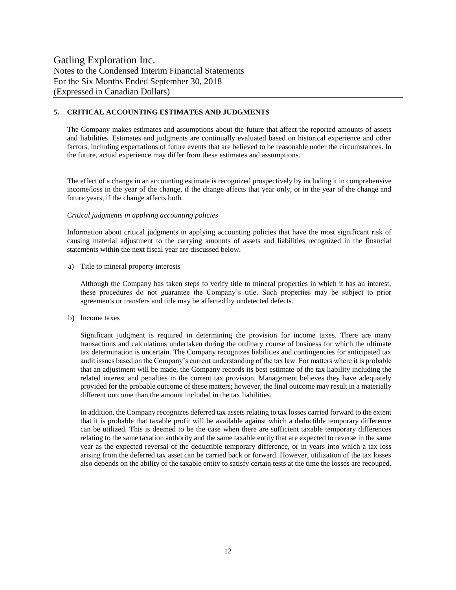#### **5. CRITICAL ACCOUNTING ESTIMATES AND JUDGMENTS**

The Company makes estimates and assumptions about the future that affect the reported amounts of assets and liabilities. Estimates and judgments are continually evaluated based on historical experience and other factors, including expectations of future events that are believed to be reasonable under the circumstances. In the future, actual experience may differ from these estimates and assumptions.

The effect of a change in an accounting estimate is recognized prospectively by including it in comprehensive income/loss in the year of the change, if the change affects that year only, or in the year of the change and future years, if the change affects both.

#### *Critical judgments in applying accounting policies*

Information about critical judgments in applying accounting policies that have the most significant risk of causing material adjustment to the carrying amounts of assets and liabilities recognized in the financial statements within the next fiscal year are discussed below.

a) Title to mineral property interests

Although the Company has taken steps to verify title to mineral properties in which it has an interest, these procedures do not guarantee the Company's title. Such properties may be subject to prior agreements or transfers and title may be affected by undetected defects.

b) Income taxes

Significant judgment is required in determining the provision for income taxes. There are many transactions and calculations undertaken during the ordinary course of business for which the ultimate tax determination is uncertain. The Company recognizes liabilities and contingencies for anticipated tax audit issues based on the Company's current understanding of the tax law. For matters where it is probable that an adjustment will be made, the Company records its best estimate of the tax liability including the related interest and penalties in the current tax provision. Management believes they have adequately provided for the probable outcome of these matters; however, the final outcome may result in a materially different outcome than the amount included in the tax liabilities.

In addition, the Company recognizes deferred tax assets relating to tax losses carried forward to the extent that it is probable that taxable profit will be available against which a deductible temporary difference can be utilized. This is deemed to be the case when there are sufficient taxable temporary differences relating to the same taxation authority and the same taxable entity that are expected to reverse in the same year as the expected reversal of the deductible temporary difference, or in years into which a tax loss arising from the deferred tax asset can be carried back or forward. However, utilization of the tax losses also depends on the ability of the taxable entity to satisfy certain tests at the time the losses are recouped.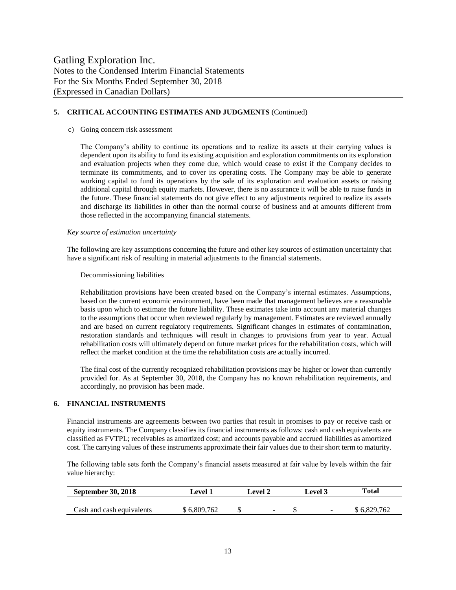#### **5. CRITICAL ACCOUNTING ESTIMATES AND JUDGMENTS** (Continued)

#### c) Going concern risk assessment

The Company's ability to continue its operations and to realize its assets at their carrying values is dependent upon its ability to fund its existing acquisition and exploration commitments on its exploration and evaluation projects when they come due, which would cease to exist if the Company decides to terminate its commitments, and to cover its operating costs. The Company may be able to generate working capital to fund its operations by the sale of its exploration and evaluation assets or raising additional capital through equity markets. However, there is no assurance it will be able to raise funds in the future. These financial statements do not give effect to any adjustments required to realize its assets and discharge its liabilities in other than the normal course of business and at amounts different from those reflected in the accompanying financial statements.

#### *Key source of estimation uncertainty*

The following are key assumptions concerning the future and other key sources of estimation uncertainty that have a significant risk of resulting in material adjustments to the financial statements.

#### Decommissioning liabilities

Rehabilitation provisions have been created based on the Company's internal estimates. Assumptions, based on the current economic environment, have been made that management believes are a reasonable basis upon which to estimate the future liability. These estimates take into account any material changes to the assumptions that occur when reviewed regularly by management. Estimates are reviewed annually and are based on current regulatory requirements. Significant changes in estimates of contamination, restoration standards and techniques will result in changes to provisions from year to year. Actual rehabilitation costs will ultimately depend on future market prices for the rehabilitation costs, which will reflect the market condition at the time the rehabilitation costs are actually incurred.

The final cost of the currently recognized rehabilitation provisions may be higher or lower than currently provided for. As at September 30, 2018, the Company has no known rehabilitation requirements, and accordingly, no provision has been made.

#### **6. FINANCIAL INSTRUMENTS**

Financial instruments are agreements between two parties that result in promises to pay or receive cash or equity instruments. The Company classifies its financial instruments as follows: cash and cash equivalents are classified as FVTPL; receivables as amortized cost; and accounts payable and accrued liabilities as amortized cost. The carrying values of these instruments approximate their fair values due to their short term to maturity.

The following table sets forth the Company's financial assets measured at fair value by levels within the fair value hierarchy:

| <b>September 30, 2018</b> | Level 1     | Level 2 |   | <b>Level 3</b> | Total       |  |  |
|---------------------------|-------------|---------|---|----------------|-------------|--|--|
|                           |             |         |   |                |             |  |  |
| Cash and cash equivalents | \$6,809,762 |         | - |                | \$6,829,762 |  |  |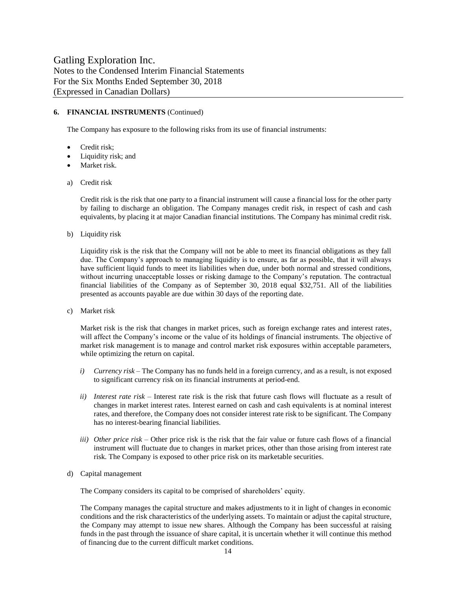#### **6. FINANCIAL INSTRUMENTS** (Continued)

The Company has exposure to the following risks from its use of financial instruments:

- Credit risk;
- Liquidity risk; and
- Market risk.
- a) Credit risk

Credit risk is the risk that one party to a financial instrument will cause a financial loss for the other party by failing to discharge an obligation. The Company manages credit risk, in respect of cash and cash equivalents, by placing it at major Canadian financial institutions. The Company has minimal credit risk.

b) Liquidity risk

Liquidity risk is the risk that the Company will not be able to meet its financial obligations as they fall due. The Company's approach to managing liquidity is to ensure, as far as possible, that it will always have sufficient liquid funds to meet its liabilities when due, under both normal and stressed conditions, without incurring unacceptable losses or risking damage to the Company's reputation. The contractual financial liabilities of the Company as of September 30, 2018 equal \$32,751. All of the liabilities presented as accounts payable are due within 30 days of the reporting date.

c) Market risk

Market risk is the risk that changes in market prices, such as foreign exchange rates and interest rates, will affect the Company's income or the value of its holdings of financial instruments. The objective of market risk management is to manage and control market risk exposures within acceptable parameters, while optimizing the return on capital.

- *i) Currency risk* The Company has no funds held in a foreign currency, and as a result, is not exposed to significant currency risk on its financial instruments at period-end.
- *ii) Interest rate risk –* Interest rate risk is the risk that future cash flows will fluctuate as a result of changes in market interest rates. Interest earned on cash and cash equivalents is at nominal interest rates, and therefore, the Company does not consider interest rate risk to be significant. The Company has no interest-bearing financial liabilities.
- *iii) Other price risk –* Other price risk is the risk that the fair value or future cash flows of a financial instrument will fluctuate due to changes in market prices, other than those arising from interest rate risk. The Company is exposed to other price risk on its marketable securities.
- d) Capital management

The Company considers its capital to be comprised of shareholders' equity.

The Company manages the capital structure and makes adjustments to it in light of changes in economic conditions and the risk characteristics of the underlying assets. To maintain or adjust the capital structure, the Company may attempt to issue new shares. Although the Company has been successful at raising funds in the past through the issuance of share capital, it is uncertain whether it will continue this method of financing due to the current difficult market conditions.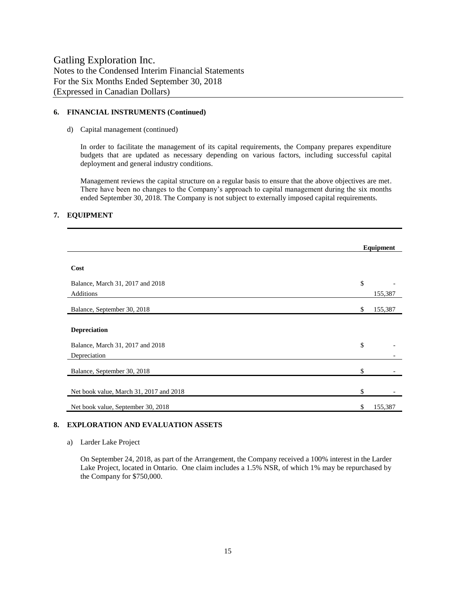#### **6. FINANCIAL INSTRUMENTS (Continued)**

d) Capital management (continued)

In order to facilitate the management of its capital requirements, the Company prepares expenditure budgets that are updated as necessary depending on various factors, including successful capital deployment and general industry conditions.

Management reviews the capital structure on a regular basis to ensure that the above objectives are met. There have been no changes to the Company's approach to capital management during the six months ended September 30, 2018. The Company is not subject to externally imposed capital requirements.

#### **7. EQUIPMENT**

|                                         |    | Equipment |
|-----------------------------------------|----|-----------|
|                                         |    |           |
| Cost                                    |    |           |
| Balance, March 31, 2017 and 2018        | \$ |           |
| Additions                               |    | 155,387   |
| Balance, September 30, 2018             | \$ | 155,387   |
|                                         |    |           |
| <b>Depreciation</b>                     |    |           |
| Balance, March 31, 2017 and 2018        | \$ |           |
| Depreciation                            |    |           |
| Balance, September 30, 2018             | \$ |           |
|                                         |    |           |
| Net book value, March 31, 2017 and 2018 | \$ |           |
| Net book value, September 30, 2018      | S  | 155,387   |

#### **8. EXPLORATION AND EVALUATION ASSETS**

a) Larder Lake Project

On September 24, 2018, as part of the Arrangement, the Company received a 100% interest in the Larder Lake Project, located in Ontario. One claim includes a 1.5% NSR, of which 1% may be repurchased by the Company for \$750,000.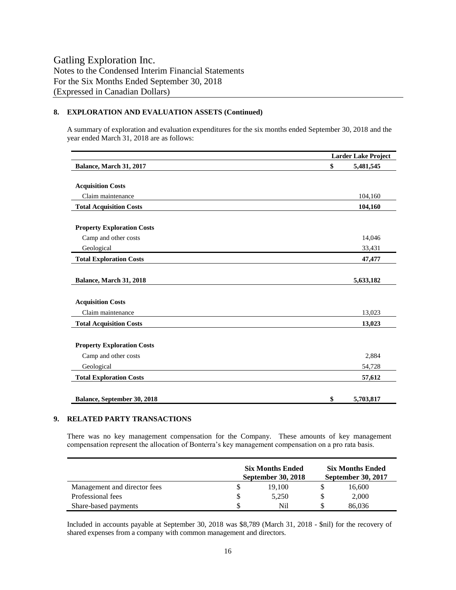#### **8. EXPLORATION AND EVALUATION ASSETS (Continued)**

A summary of exploration and evaluation expenditures for the six months ended September 30, 2018 and the year ended March 31, 2018 are as follows:

|                                   | <b>Larder Lake Project</b> |           |  |
|-----------------------------------|----------------------------|-----------|--|
| Balance, March 31, 2017           | \$                         | 5,481,545 |  |
|                                   |                            |           |  |
| <b>Acquisition Costs</b>          |                            |           |  |
| Claim maintenance                 |                            | 104,160   |  |
| <b>Total Acquisition Costs</b>    |                            | 104,160   |  |
|                                   |                            |           |  |
| <b>Property Exploration Costs</b> |                            |           |  |
| Camp and other costs              |                            | 14,046    |  |
| Geological                        |                            | 33,431    |  |
| <b>Total Exploration Costs</b>    |                            | 47,477    |  |
|                                   |                            |           |  |
| Balance, March 31, 2018           |                            | 5,633,182 |  |
|                                   |                            |           |  |
| <b>Acquisition Costs</b>          |                            |           |  |
| Claim maintenance                 |                            | 13,023    |  |
| <b>Total Acquisition Costs</b>    |                            | 13,023    |  |
|                                   |                            |           |  |
| <b>Property Exploration Costs</b> |                            |           |  |
| Camp and other costs              |                            | 2,884     |  |
| Geological                        |                            | 54,728    |  |
| <b>Total Exploration Costs</b>    |                            | 57,612    |  |
|                                   |                            |           |  |
| Balance, September 30, 2018       | \$                         | 5,703,817 |  |

#### **9. RELATED PARTY TRANSACTIONS**

There was no key management compensation for the Company. These amounts of key management compensation represent the allocation of Bonterra's key management compensation on a pro rata basis.

|                              | <b>Six Months Ended</b><br><b>September 30, 2018</b> | <b>Six Months Ended</b><br><b>September 30, 2017</b> |  |        |
|------------------------------|------------------------------------------------------|------------------------------------------------------|--|--------|
| Management and director fees |                                                      | 19.100                                               |  | 16.600 |
| Professional fees            |                                                      | 5,250                                                |  | 2,000  |
| Share-based payments         |                                                      | Nil                                                  |  | 86,036 |

Included in accounts payable at September 30, 2018 was \$8,789 (March 31, 2018 - \$nil) for the recovery of shared expenses from a company with common management and directors.